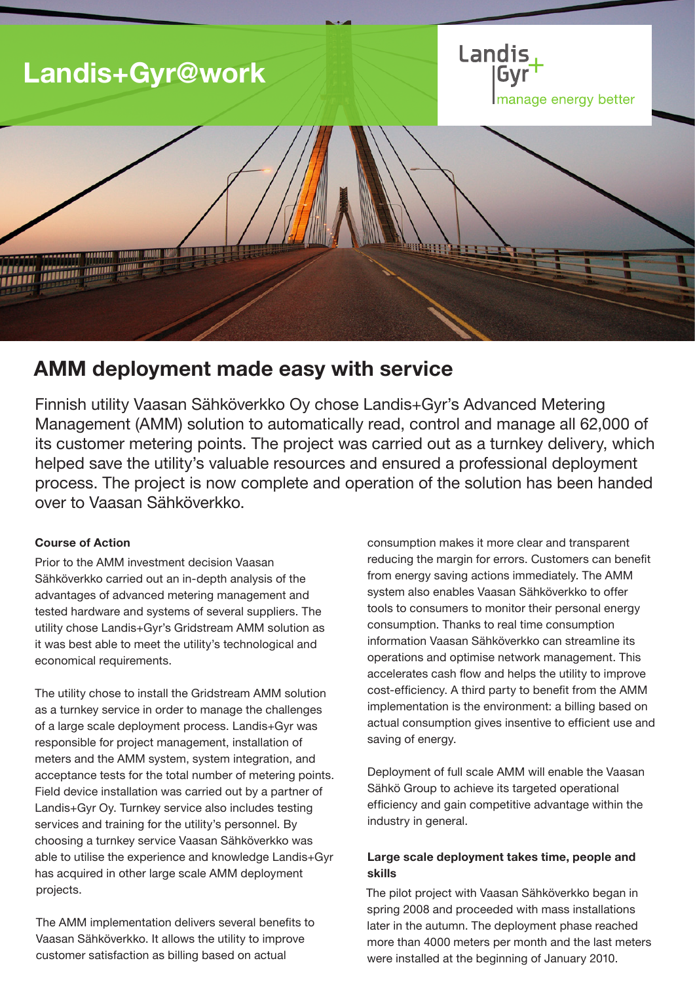

# AMM deployment made easy with service

Finnish utility Vaasan Sähköverkko Oy chose Landis+Gyr's Advanced Metering Management (AMM) solution to automatically read, control and manage all 62,000 of its customer metering points. The project was carried out as a turnkey delivery, which helped save the utility's valuable resources and ensured a professional deployment process. The project is now complete and operation of the solution has been handed over to Vaasan Sähköverkko.

## Course of Action

Prior to the AMM investment decision Vaasan Sähköverkko carried out an in-depth analysis of the advantages of advanced metering management and tested hardware and systems of several suppliers. The utility chose Landis+Gyr's Gridstream AMM solution as it was best able to meet the utility's technological and economical requirements.

The utility chose to install the Gridstream AMM solution as a turnkey service in order to manage the challenges of a large scale deployment process. Landis+Gyr was responsible for project management, installation of meters and the AMM system, system integration, and acceptance tests for the total number of metering points. Field device installation was carried out by a partner of Landis+Gyr Oy. Turnkey service also includes testing services and training for the utility's personnel. By choosing a turnkey service Vaasan Sähköverkko was able to utilise the experience and knowledge Landis+Gyr has acquired in other large scale AMM deployment projects.

The AMM implementation delivers several benefits to Vaasan Sähköverkko. It allows the utility to improve customer satisfaction as billing based on actual

consumption makes it more clear and transparent reducing the margin for errors. Customers can benefit from energy saving actions immediately. The AMM system also enables Vaasan Sähköverkko to offer tools to consumers to monitor their personal energy consumption. Thanks to real time consumption information Vaasan Sähköverkko can streamline its operations and optimise network management. This accelerates cash flow and helps the utility to improve cost-efficiency. A third party to benefit from the AMM implementation is the environment: a billing based on actual consumption gives insentive to efficient use and saving of energy.

Deployment of full scale AMM will enable the Vaasan Sähkö Group to achieve its targeted operational efficiency and gain competitive advantage within the industry in general.

# Large scale deployment takes time, people and skills

The pilot project with Vaasan Sähköverkko began in spring 2008 and proceeded with mass installations later in the autumn. The deployment phase reached more than 4000 meters per month and the last meters were installed at the beginning of January 2010.